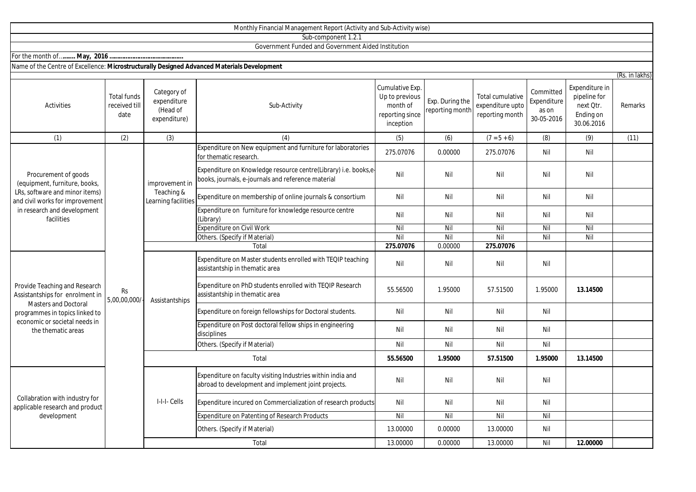|                                                                                                                                                                                          |                                             |                                                        | Sub-component 1.2.1                                                                                                   |                                                                               |                                    |                                                         |                                                 |                                                                        |                                               |
|------------------------------------------------------------------------------------------------------------------------------------------------------------------------------------------|---------------------------------------------|--------------------------------------------------------|-----------------------------------------------------------------------------------------------------------------------|-------------------------------------------------------------------------------|------------------------------------|---------------------------------------------------------|-------------------------------------------------|------------------------------------------------------------------------|-----------------------------------------------|
|                                                                                                                                                                                          |                                             |                                                        | Government Funded and Government Aided Institution                                                                    |                                                                               |                                    |                                                         |                                                 |                                                                        |                                               |
|                                                                                                                                                                                          |                                             |                                                        |                                                                                                                       |                                                                               |                                    |                                                         |                                                 |                                                                        |                                               |
| Name of the Centre of Excellence: Microstructurally Designed Advanced Materials Development                                                                                              |                                             |                                                        |                                                                                                                       |                                                                               |                                    |                                                         |                                                 |                                                                        |                                               |
| Activities                                                                                                                                                                               | <b>Total funds</b><br>received till<br>date | Category of<br>expenditure<br>(Head of<br>expenditure) | Sub-Activity                                                                                                          | Cumulative Exp.<br>Up to previous<br>month of<br>reporting since<br>inception | Exp. During the<br>reporting month | Total cumulative<br>expenditure upto<br>reporting month | Committed<br>Expenditure<br>as on<br>30-05-2016 | Expenditure in<br>pipeline for<br>next Otr.<br>Ending on<br>30.06.2016 | $\overline{\text{RS}}$ . in lakhs)<br>Remarks |
| (1)                                                                                                                                                                                      | (2)                                         | (3)                                                    | (4)                                                                                                                   | (5)                                                                           | (6)                                | $(7 = 5 + 6)$                                           | (8)                                             | (9)                                                                    | (11)                                          |
| Procurement of goods<br>(equipment, furniture, books,<br>LRs, software and minor items)<br>and civil works for improvement<br>in research and development<br>facilities                  |                                             |                                                        | Expenditure on New equipment and furniture for laboratories<br>for thematic research.                                 | 275.07076                                                                     | 0.00000                            | 275.07076                                               | Nil                                             | Nil                                                                    |                                               |
|                                                                                                                                                                                          |                                             | improvement in<br>Teaching &<br>Learning facilities    | Expenditure on Knowledge resource centre(Library) i.e. books,e-<br>books, journals, e-journals and reference material | Nil                                                                           | Nil                                | Nil                                                     | Nil                                             | Nil                                                                    |                                               |
|                                                                                                                                                                                          |                                             |                                                        | Expenditure on membership of online journals & consortium                                                             | Nil                                                                           | Nil                                | Nil                                                     | Nil                                             | Nil                                                                    |                                               |
|                                                                                                                                                                                          | Rs<br>5,00,00,000/                          |                                                        | Expenditure on furniture for knowledge resource centre<br>(Library)                                                   | Nil                                                                           | Nil                                | Nil                                                     | Nil                                             | Nil                                                                    |                                               |
|                                                                                                                                                                                          |                                             |                                                        | <b>Expenditure on Civil Work</b>                                                                                      | Nil                                                                           | Nil                                | Nil                                                     | Nil                                             | Nil                                                                    |                                               |
|                                                                                                                                                                                          |                                             |                                                        | Others. (Specify if Material)                                                                                         | Nil                                                                           | Nil                                | Nil                                                     | Nil                                             | Nil                                                                    |                                               |
|                                                                                                                                                                                          |                                             |                                                        | Total                                                                                                                 | 275.07076                                                                     | 0.00000                            | 275.07076                                               |                                                 |                                                                        |                                               |
| Provide Teaching and Research<br>Assistantships for enrolment in<br><b>Masters and Doctoral</b><br>programmes in topics linked to<br>economic or societal needs in<br>the thematic areas |                                             | Assistantships                                         | Expenditure on Master students enrolled with TEQIP teaching<br>assistantship in thematic area                         | Nil                                                                           | Nil                                | Nil                                                     | Nil                                             |                                                                        |                                               |
|                                                                                                                                                                                          |                                             |                                                        | Expenditure on PhD students enrolled with TEQIP Research<br>assistantship in thematic area                            | 55.56500                                                                      | 1.95000                            | 57.51500                                                | 1.95000                                         | 13.14500                                                               |                                               |
|                                                                                                                                                                                          |                                             |                                                        | Expenditure on foreign fellowships for Doctoral students.                                                             | Nil                                                                           | Nil                                | Nil                                                     | Nil                                             |                                                                        |                                               |
|                                                                                                                                                                                          |                                             |                                                        | Expenditure on Post doctoral fellow ships in engineering<br>disciplines                                               | Nil                                                                           | Nil                                | Nil                                                     | Nil                                             |                                                                        |                                               |
|                                                                                                                                                                                          |                                             |                                                        | Others. (Specify if Material)                                                                                         | Nil                                                                           | Nil                                | Nil                                                     | Nil                                             |                                                                        |                                               |
|                                                                                                                                                                                          |                                             | Total                                                  |                                                                                                                       | 55.56500                                                                      | 1.95000                            | 57.51500                                                | 1.95000                                         | 13.14500                                                               |                                               |
| Collabration with industry for<br>applicable research and product<br>development                                                                                                         |                                             | I-I-I- Cells                                           | Expenditure on faculty visiting Industries within india and<br>abroad to development and implement joint projects.    | Nil                                                                           | Nil                                | Nil                                                     | Nil                                             |                                                                        |                                               |
|                                                                                                                                                                                          |                                             |                                                        | Expenditure incured on Commercialization of research products                                                         | Nil                                                                           | Nil                                | Nil                                                     | Nil                                             |                                                                        |                                               |
|                                                                                                                                                                                          |                                             |                                                        | Expenditure on Patenting of Research Products                                                                         | Nil                                                                           | Nil                                | Nil                                                     | Nil                                             |                                                                        |                                               |
|                                                                                                                                                                                          |                                             |                                                        | Others. (Specify if Material)                                                                                         | 13.00000                                                                      | 0.00000                            | 13.00000                                                | Nil                                             |                                                                        |                                               |
|                                                                                                                                                                                          |                                             |                                                        | Total                                                                                                                 | 13.00000                                                                      | 0.00000                            | 13.00000                                                | Nil                                             | 12.00000                                                               |                                               |

Monthly Financial Management Report (Activity and Sub-Activity wise)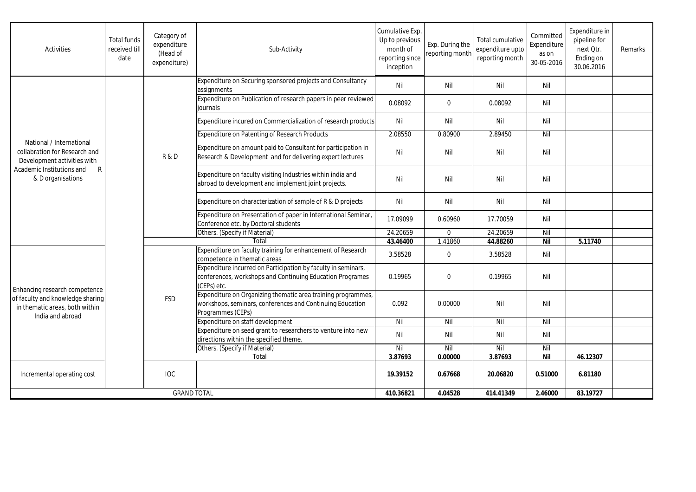| Activities                                                                                                                                      | <b>Total funds</b><br>received till<br>date | Category of<br>expenditure<br>(Head of<br>expenditure) | Sub-Activity                                                                                                                                   | Cumulative Exp.<br>Up to previous<br>month of<br>reporting since<br>inception | Exp. During the<br>reporting month | Total cumulative<br>expenditure upto<br>reporting month | Committed<br>Expenditure<br>as on<br>30-05-2016 | Expenditure in<br>pipeline for<br>next Otr.<br>Ending on<br>30.06.2016 | Remarks |
|-------------------------------------------------------------------------------------------------------------------------------------------------|---------------------------------------------|--------------------------------------------------------|------------------------------------------------------------------------------------------------------------------------------------------------|-------------------------------------------------------------------------------|------------------------------------|---------------------------------------------------------|-------------------------------------------------|------------------------------------------------------------------------|---------|
| National / International<br>collabration for Research and<br>Development activities with<br>Academic Institutions and<br>R<br>& D organisations |                                             | R&D                                                    | Expenditure on Securing sponsored projects and Consultancy<br>assignments                                                                      | Nil                                                                           | Nil                                | Nil                                                     | Nil                                             |                                                                        |         |
|                                                                                                                                                 |                                             |                                                        | Expenditure on Publication of research papers in peer reviewed<br>iournals                                                                     | 0.08092                                                                       | $\mathbf 0$                        | 0.08092                                                 | Nil                                             |                                                                        |         |
|                                                                                                                                                 |                                             |                                                        | Expenditure incured on Commercialization of research products                                                                                  | Nil                                                                           | Nil                                | Nil                                                     | Nil                                             |                                                                        |         |
|                                                                                                                                                 |                                             |                                                        | Expenditure on Patenting of Research Products                                                                                                  | 2.08550                                                                       | 0.80900                            | 2.89450                                                 | Nil                                             |                                                                        |         |
|                                                                                                                                                 |                                             |                                                        | Expenditure on amount paid to Consultant for participation in<br>Research & Development and for delivering expert lectures                     | Nil                                                                           | Nil                                | Nil                                                     | Nil                                             |                                                                        |         |
|                                                                                                                                                 |                                             |                                                        | Expenditure on faculty visiting Industries within india and<br>abroad to development and implement joint projects.                             | Nil                                                                           | Nil                                | Nil                                                     | Nil                                             |                                                                        |         |
|                                                                                                                                                 |                                             |                                                        | Expenditure on characterization of sample of R & D projects                                                                                    | Nil                                                                           | Nil                                | Nil                                                     | Nil                                             |                                                                        |         |
|                                                                                                                                                 |                                             |                                                        | Expenditure on Presentation of paper in International Seminar,<br>Conference etc. by Doctoral students                                         | 17.09099                                                                      | 0.60960                            | 17.70059                                                | Nil                                             |                                                                        |         |
|                                                                                                                                                 |                                             |                                                        | Others. (Specify if Material)                                                                                                                  | 24.20659                                                                      | $\Omega$                           | 24.20659                                                | Nil                                             |                                                                        |         |
|                                                                                                                                                 |                                             |                                                        | Total                                                                                                                                          | 43.46400                                                                      | 1.41860                            | 44.88260                                                | <b>Nil</b>                                      | 5.11740                                                                |         |
| Enhancing research competence<br>of faculty and knowledge sharing<br>in thematic areas, both within<br>India and abroad                         |                                             | <b>FSD</b>                                             | Expenditure on faculty training for enhancement of Research<br>competence in thematic areas                                                    | 3.58528                                                                       | $\mathbf 0$                        | 3.58528                                                 | Nil                                             |                                                                        |         |
|                                                                                                                                                 |                                             |                                                        | Expenditure incurred on Participation by faculty in seminars,<br>conferences, workshops and Continuing Education Programes<br>(CEPs) etc.      | 0.19965                                                                       | $\mathbf{0}$                       | 0.19965                                                 | Nil                                             |                                                                        |         |
|                                                                                                                                                 |                                             |                                                        | Expenditure on Organizing thematic area training programmes,<br>workshops, seminars, conferences and Continuing Education<br>Programmes (CEPs) | 0.092                                                                         | 0.00000                            | Nil                                                     | Nil                                             |                                                                        |         |
|                                                                                                                                                 |                                             |                                                        | Expenditure on staff development                                                                                                               | Nil                                                                           | Nil                                | Nil                                                     | Nil                                             |                                                                        |         |
|                                                                                                                                                 |                                             |                                                        | Expenditure on seed grant to researchers to venture into new<br>directions within the specified theme.                                         | Nil                                                                           | Nil                                | Nil                                                     | Nil                                             |                                                                        |         |
|                                                                                                                                                 |                                             |                                                        | Others. (Specify if Material)                                                                                                                  | Nil                                                                           | Nil                                | Nil                                                     | Nil                                             |                                                                        |         |
|                                                                                                                                                 |                                             |                                                        | Total                                                                                                                                          | 3.87693                                                                       | 0.00000                            | 3.87693                                                 | <b>Nil</b>                                      | 46.12307                                                               |         |
| Incremental operating cost                                                                                                                      |                                             | <b>IOC</b>                                             |                                                                                                                                                | 19.39152                                                                      | 0.67668                            | 20.06820                                                | 0.51000                                         | 6.81180                                                                |         |
| <b>GRAND TOTAL</b>                                                                                                                              |                                             |                                                        | 410.36821                                                                                                                                      | 4.04528                                                                       | 414.41349                          | 2.46000                                                 | 83.19727                                        |                                                                        |         |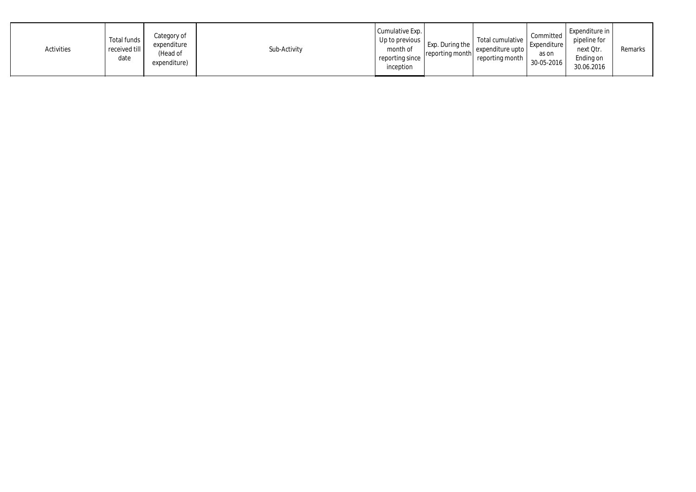| Activities | Total funds<br>received till<br>date | Category of<br>expenditure<br>(Head of<br>expenditure) | Sub-Activity | Cumulative Exp.<br>Up to previous  <br>month of<br>reporting since<br>inception | Exp. During the<br>reporting month | Total cumulative<br>expenditure upto<br>reporting month | Committed<br>Expenditure<br>as on<br>30-05-2016 | Expenditure in<br>pipeline for<br>next Qtr.<br>Ending on<br>30.06.2016 | Remarks |
|------------|--------------------------------------|--------------------------------------------------------|--------------|---------------------------------------------------------------------------------|------------------------------------|---------------------------------------------------------|-------------------------------------------------|------------------------------------------------------------------------|---------|
|------------|--------------------------------------|--------------------------------------------------------|--------------|---------------------------------------------------------------------------------|------------------------------------|---------------------------------------------------------|-------------------------------------------------|------------------------------------------------------------------------|---------|